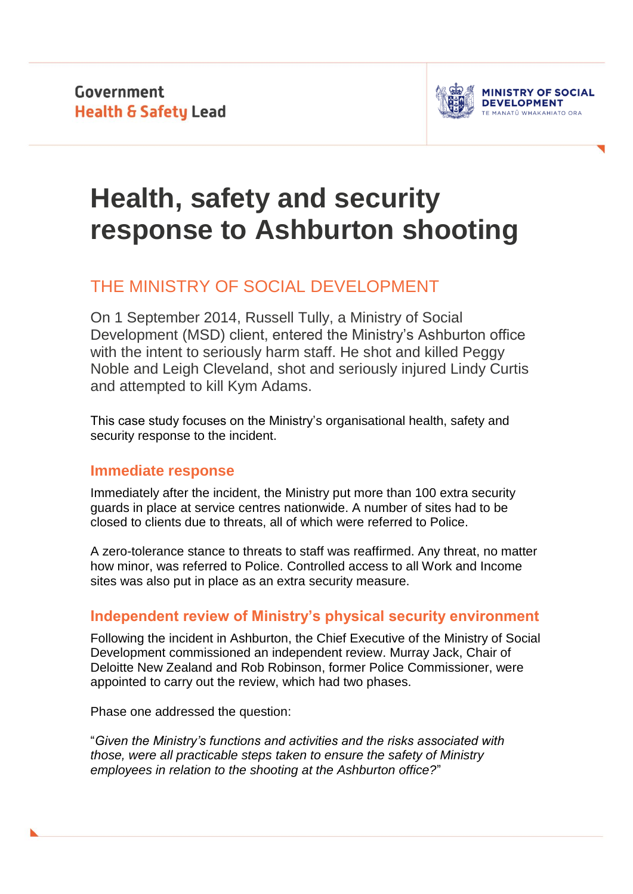**Government Health & Safety Lead** 



# **Health, safety and security response to Ashburton shooting**

# THE MINISTRY OF SOCIAL DEVELOPMENT

On 1 September 2014, Russell Tully, a Ministry of Social Development (MSD) client, entered the Ministry's Ashburton office with the intent to seriously harm staff. He shot and killed Peggy Noble and Leigh Cleveland, shot and seriously injured Lindy Curtis and attempted to kill Kym Adams.

This case study focuses on the Ministry's organisational health, safety and security response to the incident.

# **Immediate response**

Immediately after the incident, the Ministry put more than 100 extra security guards in place at service centres nationwide. A number of sites had to be closed to clients due to threats, all of which were referred to Police.

A zero-tolerance stance to threats to staff was reaffirmed. Any threat, no matter how minor, was referred to Police. Controlled access to all Work and Income sites was also put in place as an extra security measure.

# **Independent review of Ministry's physical security environment**

Following the incident in Ashburton, the Chief Executive of the Ministry of Social Development commissioned an independent review. Murray Jack, Chair of Deloitte New Zealand and Rob Robinson, former Police Commissioner, were appointed to carry out the review, which had two phases.

Phase one addressed the question:

"*Given the Ministry's functions and activities and the risks associated with those, were all practicable steps taken to ensure the safety of Ministry employees in relation to the shooting at the Ashburton office?*"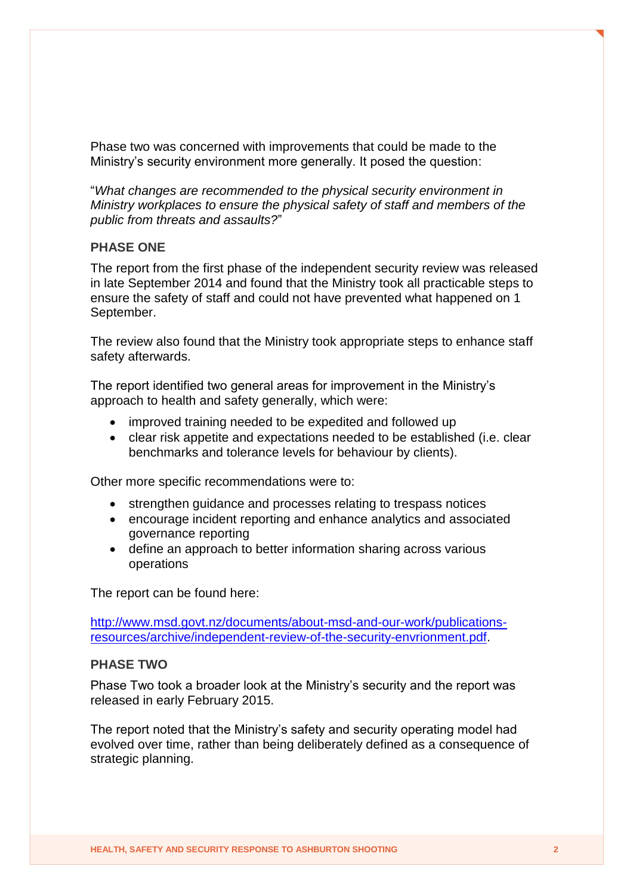Phase two was concerned with improvements that could be made to the Ministry's security environment more generally. It posed the question:

"*What changes are recommended to the physical security environment in Ministry workplaces to ensure the physical safety of staff and members of the public from threats and assaults?*"

#### **PHASE ONE**

The report from the first phase of the independent security review was released in late September 2014 and found that the Ministry took all practicable steps to ensure the safety of staff and could not have prevented what happened on 1 September.

The review also found that the Ministry took appropriate steps to enhance staff safety afterwards.

The report identified two general areas for improvement in the Ministry's approach to health and safety generally, which were:

- improved training needed to be expedited and followed up
- clear risk appetite and expectations needed to be established (i.e. clear benchmarks and tolerance levels for behaviour by clients).

Other more specific recommendations were to:

- strengthen guidance and processes relating to trespass notices
- encourage incident reporting and enhance analytics and associated governance reporting
- define an approach to better information sharing across various operations

The report can be found here:

[http://www.msd.govt.nz/documents/about-msd-and-our-work/publications](http://www.msd.govt.nz/documents/about-msd-and-our-work/publications-resources/archive/independent-review-of-the-security-envrionment.pdf)[resources/archive/independent-review-of-the-security-envrionment.pdf.](http://www.msd.govt.nz/documents/about-msd-and-our-work/publications-resources/archive/independent-review-of-the-security-envrionment.pdf)

#### **PHASE TWO**

Phase Two took a broader look at the Ministry's security and the report was released in early February 2015.

The report noted that the Ministry's safety and security operating model had evolved over time, rather than being deliberately defined as a consequence of strategic planning.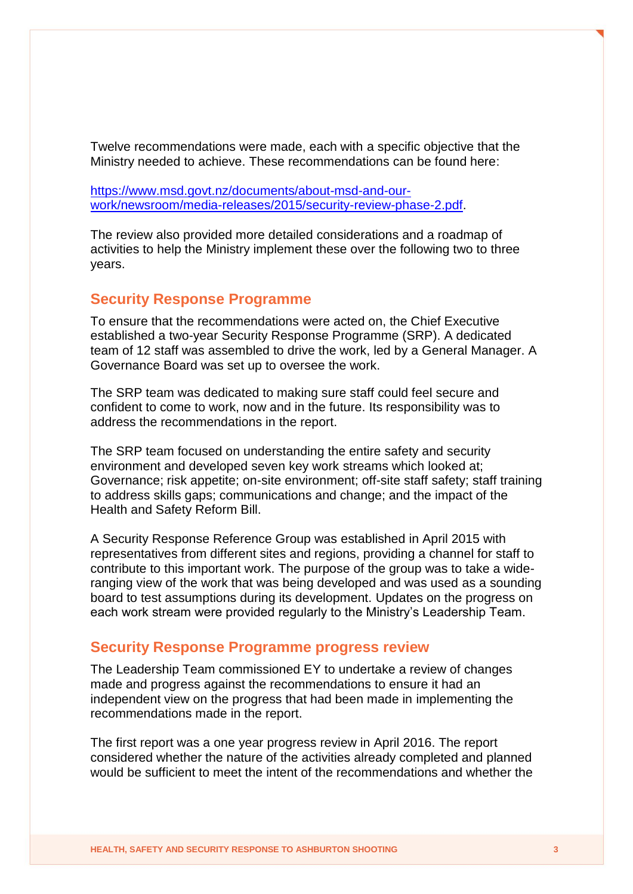Twelve recommendations were made, each with a specific objective that the Ministry needed to achieve. These recommendations can be found here:

[https://www.msd.govt.nz/documents/about-msd-and-our](https://www.msd.govt.nz/documents/about-msd-and-our-work/newsroom/media-releases/2015/security-review-phase-2.pdf)[work/newsroom/media-releases/2015/security-review-phase-2.pdf.](https://www.msd.govt.nz/documents/about-msd-and-our-work/newsroom/media-releases/2015/security-review-phase-2.pdf)

The review also provided more detailed considerations and a roadmap of activities to help the Ministry implement these over the following two to three years.

### **Security Response Programme**

To ensure that the recommendations were acted on, the Chief Executive established a two-year Security Response Programme (SRP). A dedicated team of 12 staff was assembled to drive the work, led by a General Manager. A Governance Board was set up to oversee the work.

The SRP team was dedicated to making sure staff could feel secure and confident to come to work, now and in the future. Its responsibility was to address the recommendations in the report.

The SRP team focused on understanding the entire safety and security environment and developed seven key work streams which looked at; Governance; risk appetite; on-site environment; off-site staff safety; staff training to address skills gaps; communications and change; and the impact of the Health and Safety Reform Bill.

A Security Response Reference Group was established in April 2015 with representatives from different sites and regions, providing a channel for staff to contribute to this important work. The purpose of the group was to take a wideranging view of the work that was being developed and was used as a sounding board to test assumptions during its development. Updates on the progress on each work stream were provided regularly to the Ministry's Leadership Team.

#### **Security Response Programme progress review**

The Leadership Team commissioned EY to undertake a review of changes made and progress against the recommendations to ensure it had an independent view on the progress that had been made in implementing the recommendations made in the report.

The first report was a one year progress review in April 2016. The report considered whether the nature of the activities already completed and planned would be sufficient to meet the intent of the recommendations and whether the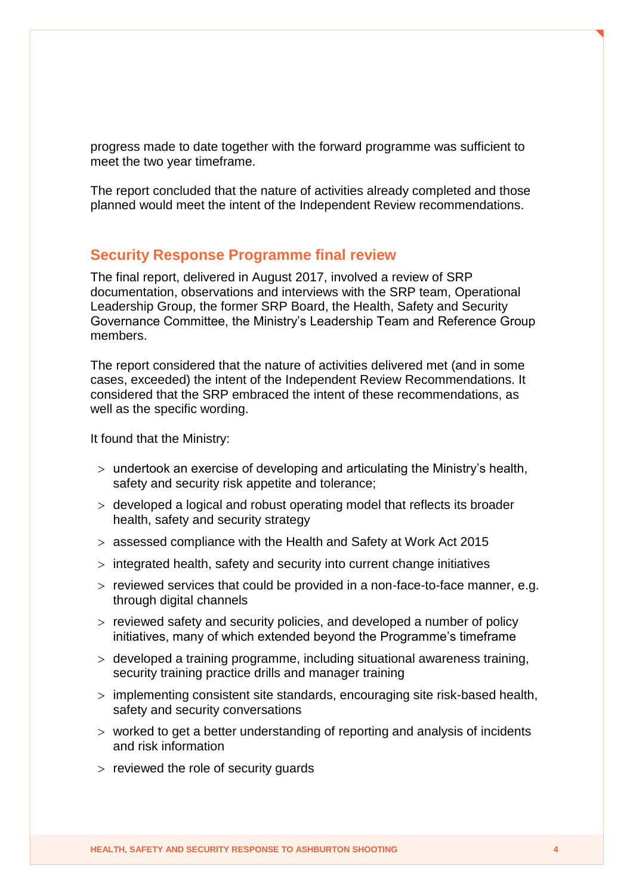progress made to date together with the forward programme was sufficient to meet the two year timeframe.

The report concluded that the nature of activities already completed and those planned would meet the intent of the Independent Review recommendations.

#### **Security Response Programme final review**

The final report, delivered in August 2017, involved a review of SRP documentation, observations and interviews with the SRP team, Operational Leadership Group, the former SRP Board, the Health, Safety and Security Governance Committee, the Ministry's Leadership Team and Reference Group members.

The report considered that the nature of activities delivered met (and in some cases, exceeded) the intent of the Independent Review Recommendations. It considered that the SRP embraced the intent of these recommendations, as well as the specific wording.

It found that the Ministry:

- undertook an exercise of developing and articulating the Ministry's health, safety and security risk appetite and tolerance;
- developed a logical and robust operating model that reflects its broader health, safety and security strategy
- assessed compliance with the Health and Safety at Work Act 2015
- $>$  integrated health, safety and security into current change initiatives
- $>$  reviewed services that could be provided in a non-face-to-face manner, e.g. through digital channels
- $>$  reviewed safety and security policies, and developed a number of policy initiatives, many of which extended beyond the Programme's timeframe
- developed a training programme, including situational awareness training, security training practice drills and manager training
- implementing consistent site standards, encouraging site risk-based health, safety and security conversations
- worked to get a better understanding of reporting and analysis of incidents and risk information
- $>$  reviewed the role of security quards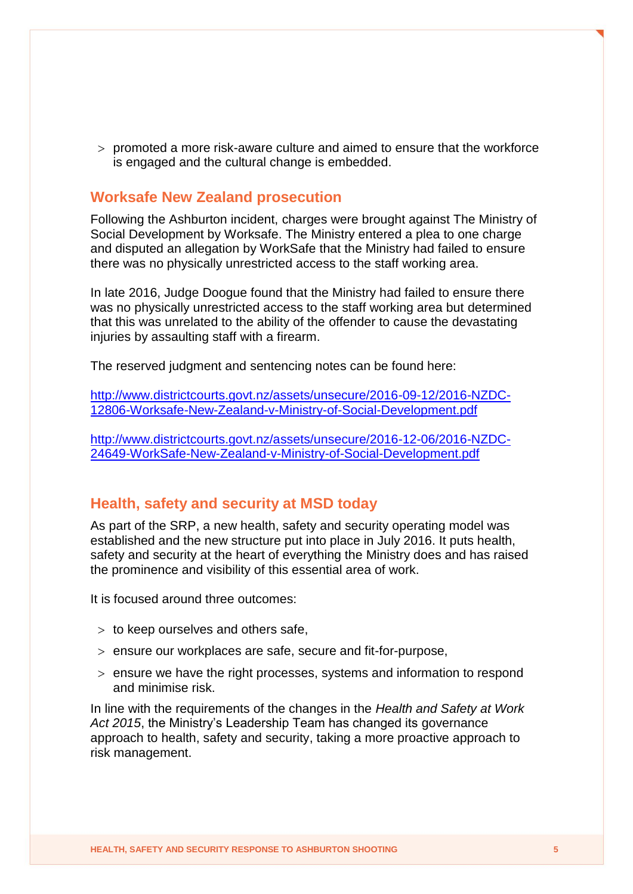$>$  promoted a more risk-aware culture and aimed to ensure that the workforce is engaged and the cultural change is embedded.

#### **Worksafe New Zealand prosecution**

Following the Ashburton incident, charges were brought against The Ministry of Social Development by Worksafe. The Ministry entered a plea to one charge and disputed an allegation by WorkSafe that the Ministry had failed to ensure there was no physically unrestricted access to the staff working area.

In late 2016, Judge Doogue found that the Ministry had failed to ensure there was no physically unrestricted access to the staff working area but determined that this was unrelated to the ability of the offender to cause the devastating injuries by assaulting staff with a firearm.

The reserved judgment and sentencing notes can be found here:

[http://www.districtcourts.govt.nz/assets/unsecure/2016-09-12/2016-NZDC-](http://www.districtcourts.govt.nz/assets/unsecure/2016-09-12/2016-NZDC-12806-Worksafe-New-Zealand-v-Ministry-of-Social-Development.pdf)[12806-Worksafe-New-Zealand-v-Ministry-of-Social-Development.pdf](http://www.districtcourts.govt.nz/assets/unsecure/2016-09-12/2016-NZDC-12806-Worksafe-New-Zealand-v-Ministry-of-Social-Development.pdf)

[http://www.districtcourts.govt.nz/assets/unsecure/2016-12-06/2016-NZDC-](http://www.districtcourts.govt.nz/assets/unsecure/2016-12-06/2016-NZDC-24649-WorkSafe-New-Zealand-v-Ministry-of-Social-Development.pdf)[24649-WorkSafe-New-Zealand-v-Ministry-of-Social-Development.pdf](http://www.districtcourts.govt.nz/assets/unsecure/2016-12-06/2016-NZDC-24649-WorkSafe-New-Zealand-v-Ministry-of-Social-Development.pdf)

#### **Health, safety and security at MSD today**

As part of the SRP, a new health, safety and security operating model was established and the new structure put into place in July 2016. It puts health, safety and security at the heart of everything the Ministry does and has raised the prominence and visibility of this essential area of work.

It is focused around three outcomes:

- $>$  to keep ourselves and others safe,
- ensure our workplaces are safe, secure and fit-for-purpose,
- $>$  ensure we have the right processes, systems and information to respond and minimise risk.

In line with the requirements of the changes in the *Health and Safety at Work Act 2015*, the Ministry's Leadership Team has changed its governance approach to health, safety and security, taking a more proactive approach to risk management.